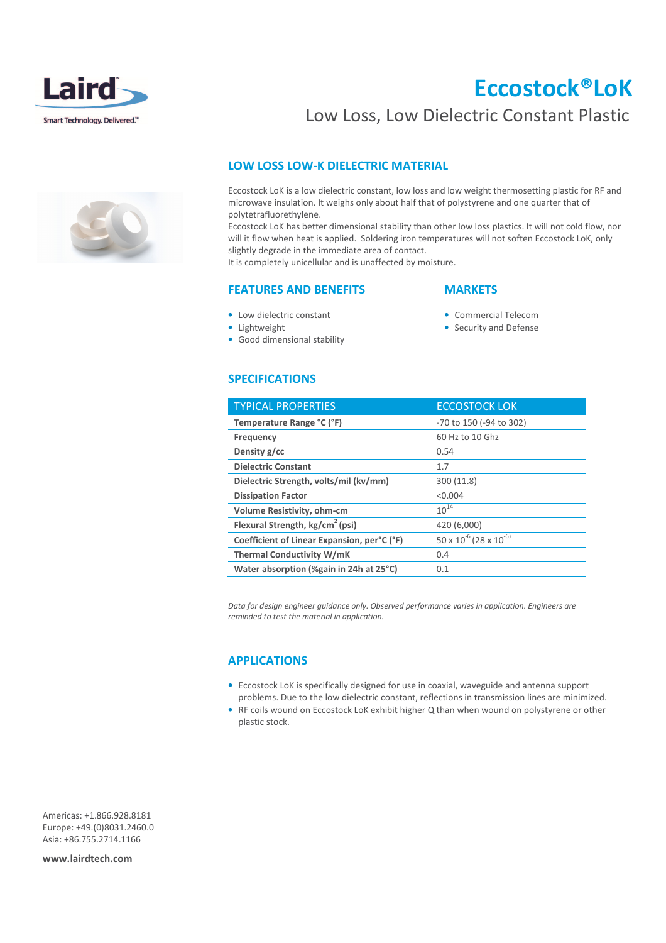

# Eccostock®LoK

## Low Loss, Low Dielectric Constant Plastic

#### LOW LOSS LOW-K DIELECTRIC MATERIAL

Eccostock LoK is a low dielectric constant, low loss and low weight thermosetting plastic for RF and microwave insulation. It weighs only about half that of polystyrene and one quarter that of polytetrafluorethylene.

Eccostock LoK has better dimensional stability than other low loss plastics. It will not cold flow, nor will it flow when heat is applied. Soldering iron temperatures will not soften Eccostock LoK, only slightly degrade in the immediate area of contact.

It is completely unicellular and is unaffected by moisture.

#### FEATURES AND BENEFITS

#### **MARKETS**

- Low dielectric constant
- Lightweight
- Commercial Telecom
- Good dimensional stability
- 

• Security and Defense

### SPECIFICATIONS

| <b>TYPICAL PROPERTIES</b>                   | <b>ECCOSTOCK LOK</b>                  |
|---------------------------------------------|---------------------------------------|
| Temperature Range °C (°F)                   | -70 to 150 (-94 to 302)               |
| Frequency                                   | 60 Hz to 10 Ghz                       |
| Density g/cc                                | 0.54                                  |
| <b>Dielectric Constant</b>                  | 1.7                                   |
| Dielectric Strength, volts/mil (kv/mm)      | 300 (11.8)                            |
| <b>Dissipation Factor</b>                   | < 0.004                               |
| Volume Resistivity, ohm-cm                  | $10^{14}$                             |
| Flexural Strength, kg/cm <sup>2</sup> (psi) | 420 (6,000)                           |
| Coefficient of Linear Expansion, per°C (°F) | $50 \times 10^{-6}$ (28 x $10^{-6}$ ) |
| <b>Thermal Conductivity W/mK</b>            | 0.4                                   |
| Water absorption (%gain in 24h at 25°C)     | 0.1                                   |

Data for design engineer guidance only. Observed performance varies in application. Engineers are reminded to test the material in application.

#### APPLICATIONS

- Eccostock LoK is specifically designed for use in coaxial, waveguide and antenna support problems. Due to the low dielectric constant, reflections in transmission lines are minimized.
- RF coils wound on Eccostock LoK exhibit higher Q than when wound on polystyrene or other plastic stock.

Americas: +1.866.928.8181 Europe: +49.(0)8031.2460.0 Asia: +86.755.2714.1166

www.lairdtech.com